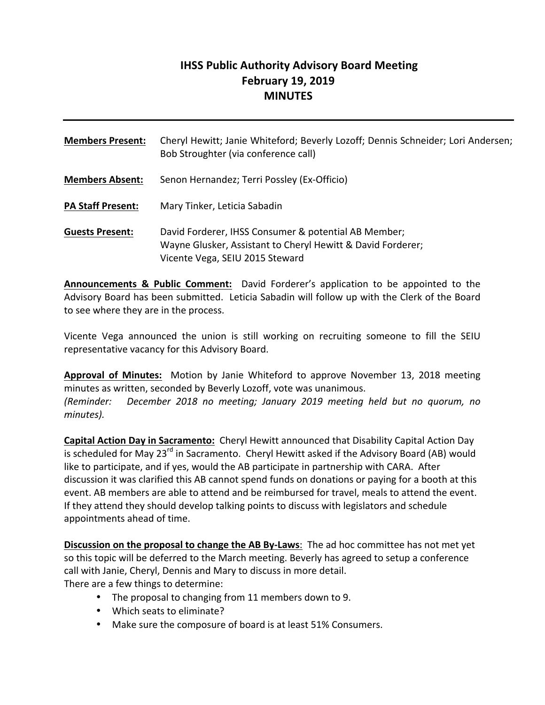## **IHSS Public Authority Advisory Board Meeting February 19, 2019 MINUTES**

| <b>Members Present:</b>  | Cheryl Hewitt; Janie Whiteford; Beverly Lozoff; Dennis Schneider; Lori Andersen;<br>Bob Stroughter (via conference call)                               |
|--------------------------|--------------------------------------------------------------------------------------------------------------------------------------------------------|
| <b>Members Absent:</b>   | Senon Hernandez; Terri Possley (Ex-Officio)                                                                                                            |
| <b>PA Staff Present:</b> | Mary Tinker, Leticia Sabadin                                                                                                                           |
| <b>Guests Present:</b>   | David Forderer, IHSS Consumer & potential AB Member;<br>Wayne Glusker, Assistant to Cheryl Hewitt & David Forderer;<br>Vicente Vega, SEIU 2015 Steward |

**Announcements & Public Comment:** David Forderer's application to be appointed to the Advisory Board has been submitted. Leticia Sabadin will follow up with the Clerk of the Board to see where they are in the process.

Vicente Vega announced the union is still working on recruiting someone to fill the SEIU representative vacancy for this Advisory Board.

**Approval of Minutes:** Motion by Janie Whiteford to approve November 13, 2018 meeting minutes as written, seconded by Beverly Lozoff, vote was unanimous. *(Reminder: December 2018 no meeting; January 2019 meeting held but no quorum, no minutes).*

**Capital Action Day in Sacramento:** Cheryl Hewitt announced that Disability Capital Action Day is scheduled for May 23<sup>rd</sup> in Sacramento. Cheryl Hewitt asked if the Advisory Board (AB) would like to participate, and if yes, would the AB participate in partnership with CARA. After discussion it was clarified this AB cannot spend funds on donations or paying for a booth at this event. AB members are able to attend and be reimbursed for travel, meals to attend the event. If they attend they should develop talking points to discuss with legislators and schedule appointments ahead of time.

**Discussion on the proposal to change the AB By-Laws**: The ad hoc committee has not met yet so this topic will be deferred to the March meeting. Beverly has agreed to setup a conference call with Janie, Cheryl, Dennis and Mary to discuss in more detail. There are a few things to determine:

- The proposal to changing from 11 members down to 9.
- Which seats to eliminate?
- Make sure the composure of board is at least 51% Consumers.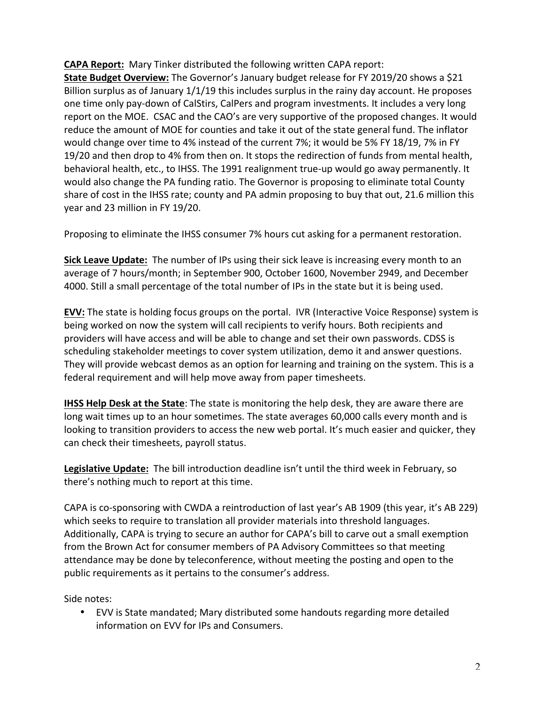**CAPA Report:** Mary Tinker distributed the following written CAPA report:

**State Budget Overview:** The Governor's January budget release for FY 2019/20 shows a \$21 Billion surplus as of January  $1/1/19$  this includes surplus in the rainy day account. He proposes one time only pay-down of CalStirs, CalPers and program investments. It includes a very long report on the MOE. CSAC and the CAO's are very supportive of the proposed changes. It would reduce the amount of MOE for counties and take it out of the state general fund. The inflator would change over time to 4% instead of the current 7%; it would be 5% FY 18/19, 7% in FY 19/20 and then drop to 4% from then on. It stops the redirection of funds from mental health, behavioral health, etc., to IHSS. The 1991 realignment true-up would go away permanently. It would also change the PA funding ratio. The Governor is proposing to eliminate total County share of cost in the IHSS rate; county and PA admin proposing to buy that out, 21.6 million this year and 23 million in FY 19/20.

Proposing to eliminate the IHSS consumer 7% hours cut asking for a permanent restoration.

**Sick Leave Update:** The number of IPs using their sick leave is increasing every month to an average of 7 hours/month; in September 900, October 1600, November 2949, and December 4000. Still a small percentage of the total number of IPs in the state but it is being used.

**EVV:** The state is holding focus groups on the portal. IVR (Interactive Voice Response) system is being worked on now the system will call recipients to verify hours. Both recipients and providers will have access and will be able to change and set their own passwords. CDSS is scheduling stakeholder meetings to cover system utilization, demo it and answer questions. They will provide webcast demos as an option for learning and training on the system. This is a federal requirement and will help move away from paper timesheets.

**IHSS Help Desk at the State**: The state is monitoring the help desk, they are aware there are long wait times up to an hour sometimes. The state averages 60,000 calls every month and is looking to transition providers to access the new web portal. It's much easier and quicker, they can check their timesheets, payroll status.

Legislative Update: The bill introduction deadline isn't until the third week in February, so there's nothing much to report at this time.

CAPA is co-sponsoring with CWDA a reintroduction of last year's AB 1909 (this year, it's AB 229) which seeks to require to translation all provider materials into threshold languages. Additionally, CAPA is trying to secure an author for CAPA's bill to carve out a small exemption from the Brown Act for consumer members of PA Advisory Committees so that meeting attendance may be done by teleconference, without meeting the posting and open to the public requirements as it pertains to the consumer's address.

Side notes:

• EVV is State mandated; Mary distributed some handouts regarding more detailed information on EVV for IPs and Consumers.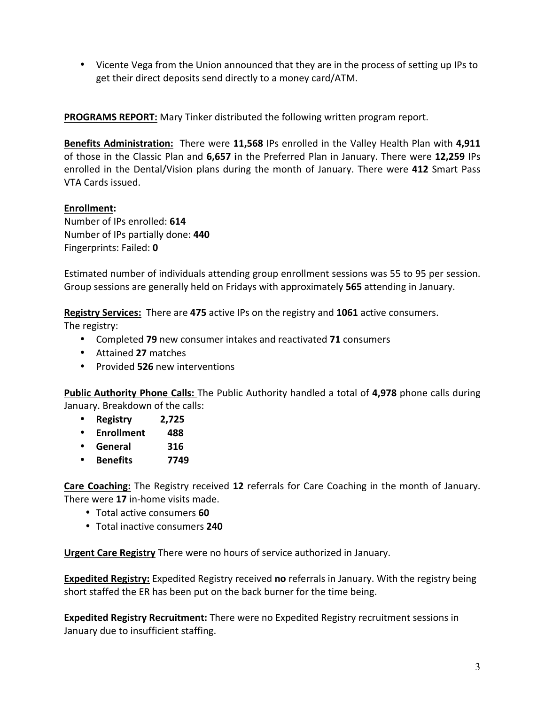• Vicente Vega from the Union announced that they are in the process of setting up IPs to get their direct deposits send directly to a money card/ATM.

**PROGRAMS REPORT:** Mary Tinker distributed the following written program report.

**Benefits Administration:** There were 11,568 IPs enrolled in the Valley Health Plan with 4,911 of those in the Classic Plan and 6,657 in the Preferred Plan in January. There were 12,259 IPs enrolled in the Dental/Vision plans during the month of January. There were 412 Smart Pass VTA Cards issued.

## **Enrollment:**

Number of IPs enrolled: **614** Number of IPs partially done: **440** Fingerprints: Failed: **0**

Estimated number of individuals attending group enrollment sessions was 55 to 95 per session. Group sessions are generally held on Fridays with approximately **565** attending in January.

**Registry Services:** There are 475 active IPs on the registry and 1061 active consumers.

The registry:

- Completed 79 new consumer intakes and reactivated 71 consumers
- Attained **27** matches
- Provided 526 new interventions

**Public Authority Phone Calls:** The Public Authority handled a total of 4,978 phone calls during January. Breakdown of the calls:

- **Registry 2,725**
- **Enrollment 488**
- **General 316**
- **Benefits 7749**

**Care Coaching:** The Registry received 12 referrals for Care Coaching in the month of January. There were 17 in-home visits made.

- Total active consumers **60**
- Total inactive consumers **240**

**Urgent Care Registry** There were no hours of service authorized in January.

**Expedited Registry:** Expedited Registry received no referrals in January. With the registry being short staffed the ER has been put on the back burner for the time being.

**Expedited Registry Recruitment:** There were no Expedited Registry recruitment sessions in January due to insufficient staffing.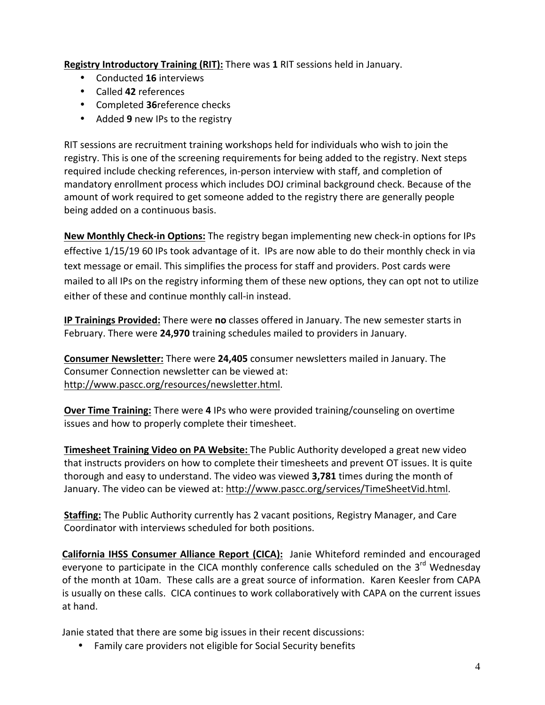**Registry Introductory Training (RIT):** There was 1 RIT sessions held in January.

- Conducted **16** interviews
- Called **42** references
- Completed 36 reference checks
- Added 9 new IPs to the registry

RIT sessions are recruitment training workshops held for individuals who wish to join the registry. This is one of the screening requirements for being added to the registry. Next steps required include checking references, in-person interview with staff, and completion of mandatory enrollment process which includes DOJ criminal background check. Because of the amount of work required to get someone added to the registry there are generally people being added on a continuous basis.

**New Monthly Check-in Options:** The registry began implementing new check-in options for IPs effective 1/15/19 60 IPs took advantage of it. IPs are now able to do their monthly check in via text message or email. This simplifies the process for staff and providers. Post cards were mailed to all IPs on the registry informing them of these new options, they can opt not to utilize either of these and continue monthly call-in instead.

**IP Trainings Provided:** There were no classes offered in January. The new semester starts in February. There were 24,970 training schedules mailed to providers in January.

**Consumer Newsletter:** There were 24,405 consumer newsletters mailed in January. The Consumer Connection newsletter can be viewed at: http://www.pascc.org/resources/newsletter.html.

**Over Time Training:** There were 4 IPs who were provided training/counseling on overtime issues and how to properly complete their timesheet.

**Timesheet Training Video on PA Website:** The Public Authority developed a great new video that instructs providers on how to complete their timesheets and prevent OT issues. It is quite thorough and easy to understand. The video was viewed **3,781** times during the month of January. The video can be viewed at: http://www.pascc.org/services/TimeSheetVid.html.

**Staffing:** The Public Authority currently has 2 vacant positions, Registry Manager, and Care Coordinator with interviews scheduled for both positions.

**California IHSS Consumer Alliance Report (CICA):** Janie Whiteford reminded and encouraged everyone to participate in the CICA monthly conference calls scheduled on the 3<sup>rd</sup> Wednesday of the month at 10am. These calls are a great source of information. Karen Keesler from CAPA is usually on these calls. CICA continues to work collaboratively with CAPA on the current issues at hand.

Janie stated that there are some big issues in their recent discussions:

• Family care providers not eligible for Social Security benefits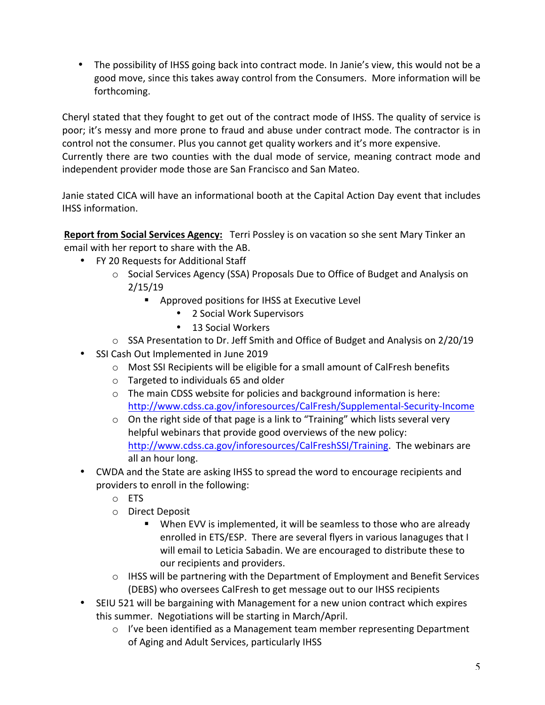• The possibility of IHSS going back into contract mode. In Janie's view, this would not be a good move, since this takes away control from the Consumers. More information will be forthcoming.

Cheryl stated that they fought to get out of the contract mode of IHSS. The quality of service is poor; it's messy and more prone to fraud and abuse under contract mode. The contractor is in control not the consumer. Plus you cannot get quality workers and it's more expensive. Currently there are two counties with the dual mode of service, meaning contract mode and independent provider mode those are San Francisco and San Mateo.

Janie stated CICA will have an informational booth at the Capital Action Day event that includes IHSS information.

**Report from Social Services Agency:** Terri Possley is on vacation so she sent Mary Tinker an email with her report to share with the AB.

- FY 20 Requests for Additional Staff
	- o Social Services Agency (SSA) Proposals Due to Office of Budget and Analysis on 2/15/19
		- Approved positions for IHSS at Executive Level
			- 2 Social Work Supervisors
			- 13 Social Workers
	- $\circ$  SSA Presentation to Dr. Jeff Smith and Office of Budget and Analysis on 2/20/19
- SSI Cash Out Implemented in June 2019
	- o Most SSI Recipients will be eligible for a small amount of CalFresh benefits
	- $\circ$  Targeted to individuals 65 and older
	- $\circ$  The main CDSS website for policies and background information is here: http://www.cdss.ca.gov/inforesources/CalFresh/Supplemental-Security-Income
	- $\circ$  On the right side of that page is a link to "Training" which lists several very helpful webinars that provide good overviews of the new policy: http://www.cdss.ca.gov/inforesources/CalFreshSSI/Training. The webinars are all an hour long.
- CWDA and the State are asking IHSS to spread the word to encourage recipients and providers to enroll in the following:
	- o ETS
	- o Direct Deposit
		- When EVV is implemented, it will be seamless to those who are already enrolled in ETS/ESP. There are several flyers in various lanaguges that I will email to Leticia Sabadin. We are encouraged to distribute these to our recipients and providers.
	- $\circ$  IHSS will be partnering with the Department of Employment and Benefit Services (DEBS) who oversees CalFresh to get message out to our IHSS recipients
- SEIU 521 will be bargaining with Management for a new union contract which expires this summer. Negotiations will be starting in March/April.
	- $\circ$  I've been identified as a Management team member representing Department of Aging and Adult Services, particularly IHSS